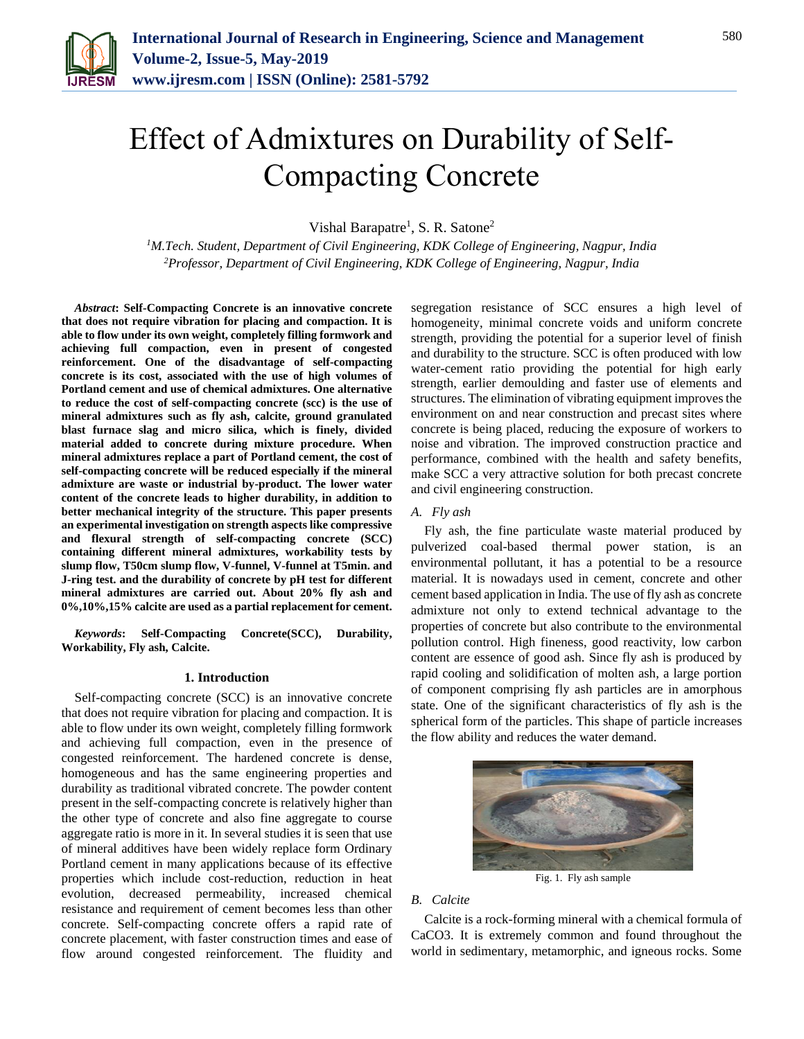

# Effect of Admixtures on Durability of Self-Compacting Concrete

Vishal Barapatre<sup>1</sup>, S. R. Satone<sup>2</sup>

*<sup>1</sup>M.Tech. Student, Department of Civil Engineering, KDK College of Engineering, Nagpur, India 2Professor, Department of Civil Engineering, KDK College of Engineering, Nagpur, India*

*Abstract***: Self-Compacting Concrete is an innovative concrete that does not require vibration for placing and compaction. It is able to flow under its own weight, completely filling formwork and achieving full compaction, even in present of congested reinforcement. One of the disadvantage of self-compacting concrete is its cost, associated with the use of high volumes of Portland cement and use of chemical admixtures. One alternative to reduce the cost of self-compacting concrete (scc) is the use of mineral admixtures such as fly ash, calcite, ground granulated blast furnace slag and micro silica, which is finely, divided material added to concrete during mixture procedure. When mineral admixtures replace a part of Portland cement, the cost of self-compacting concrete will be reduced especially if the mineral admixture are waste or industrial by-product. The lower water content of the concrete leads to higher durability, in addition to better mechanical integrity of the structure. This paper presents an experimental investigation on strength aspects like compressive and flexural strength of self-compacting concrete (SCC) containing different mineral admixtures, workability tests by slump flow, T50cm slump flow, V-funnel, V-funnel at T5min. and J-ring test. and the durability of concrete by pH test for different mineral admixtures are carried out. About 20% fly ash and 0%,10%,15% calcite are used as a partial replacement for cement.**

*Keywords***: Self-Compacting Concrete(SCC), Durability, Workability, Fly ash, Calcite.**

#### **1. Introduction**

Self-compacting concrete (SCC) is an innovative concrete that does not require vibration for placing and compaction. It is able to flow under its own weight, completely filling formwork and achieving full compaction, even in the presence of congested reinforcement. The hardened concrete is dense, homogeneous and has the same engineering properties and durability as traditional vibrated concrete. The powder content present in the self-compacting concrete is relatively higher than the other type of concrete and also fine aggregate to course aggregate ratio is more in it. In several studies it is seen that use of mineral additives have been widely replace form Ordinary Portland cement in many applications because of its effective properties which include cost-reduction, reduction in heat evolution, decreased permeability, increased chemical resistance and requirement of cement becomes less than other concrete. Self-compacting concrete offers a rapid rate of concrete placement, with faster construction times and ease of flow around congested reinforcement. The fluidity and segregation resistance of SCC ensures a high level of homogeneity, minimal concrete voids and uniform concrete strength, providing the potential for a superior level of finish and durability to the structure. SCC is often produced with low water-cement ratio providing the potential for high early strength, earlier demoulding and faster use of elements and structures. The elimination of vibrating equipment improves the environment on and near construction and precast sites where concrete is being placed, reducing the exposure of workers to noise and vibration. The improved construction practice and performance, combined with the health and safety benefits, make SCC a very attractive solution for both precast concrete and civil engineering construction.

## *A. Fly ash*

Fly ash, the fine particulate waste material produced by pulverized coal-based thermal power station, is an environmental pollutant, it has a potential to be a resource material. It is nowadays used in cement, concrete and other cement based application in India. The use of fly ash as concrete admixture not only to extend technical advantage to the properties of concrete but also contribute to the environmental pollution control. High fineness, good reactivity, low carbon content are essence of good ash. Since fly ash is produced by rapid cooling and solidification of molten ash, a large portion of component comprising fly ash particles are in amorphous state. One of the significant characteristics of fly ash is the spherical form of the particles. This shape of particle increases the flow ability and reduces the water demand.



Fig. 1. Fly ash sample

#### *B. Calcite*

Calcite is a rock-forming mineral with a chemical formula of CaCO3. It is extremely common and found throughout the world in sedimentary, metamorphic, and igneous rocks. Some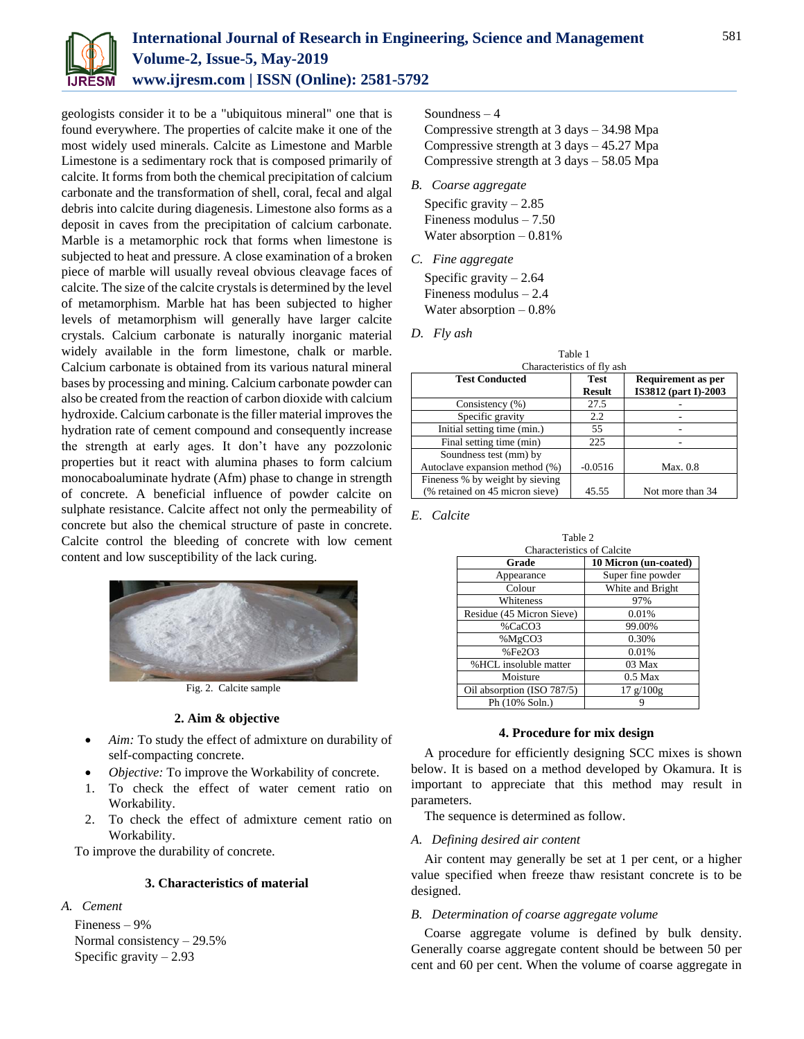

geologists consider it to be a "ubiquitous mineral" one that is found everywhere. The properties of calcite make it one of the most widely used minerals. Calcite as Limestone and Marble Limestone is a sedimentary rock that is composed primarily of calcite. It forms from both the chemical precipitation of calcium carbonate and the transformation of shell, coral, fecal and algal debris into calcite during diagenesis. Limestone also forms as a deposit in caves from the precipitation of calcium carbonate. Marble is a metamorphic rock that forms when limestone is subjected to heat and pressure. A close examination of a broken piece of marble will usually reveal obvious cleavage faces of calcite. The size of the calcite crystals is determined by the level of metamorphism. Marble hat has been subjected to higher levels of metamorphism will generally have larger calcite crystals. Calcium carbonate is naturally inorganic material widely available in the form limestone, chalk or marble. Calcium carbonate is obtained from its various natural mineral bases by processing and mining. Calcium carbonate powder can also be created from the reaction of carbon dioxide with calcium hydroxide. Calcium carbonate is the filler material improves the hydration rate of cement compound and consequently increase the strength at early ages. It don't have any pozzolonic properties but it react with alumina phases to form calcium monocaboaluminate hydrate (Afm) phase to change in strength of concrete. A beneficial influence of powder calcite on sulphate resistance. Calcite affect not only the permeability of concrete but also the chemical structure of paste in concrete. Calcite control the bleeding of concrete with low cement content and low susceptibility of the lack curing.



Fig. 2. Calcite sample

#### **2. Aim & objective**

- *Aim:* To study the effect of admixture on durability of self-compacting concrete.
- *Objective:* To improve the Workability of concrete.
- 1. To check the effect of water cement ratio on Workability.
- 2. To check the effect of admixture cement ratio on Workability.

To improve the durability of concrete.

## **3. Characteristics of material**

#### *A. Cement*

Fineness – 9% Normal consistency – 29.5% Specific gravity  $-2.93$ 

## Soundness – 4

Compressive strength at 3 days – 34.98 Mpa Compressive strength at 3 days – 45.27 Mpa Compressive strength at 3 days – 58.05 Mpa

*B. Coarse aggregate*

Specific gravity  $-2.85$ Fineness modulus – 7.50 Water absorption – 0.81%

*C. Fine aggregate* Specific gravity  $-2.64$ 

Fineness modulus – 2.4 Water absorption – 0.8%

*D. Fly ash*

| Table 1                         |               |                      |  |  |  |  |
|---------------------------------|---------------|----------------------|--|--|--|--|
| Characteristics of fly ash      |               |                      |  |  |  |  |
| <b>Test Conducted</b>           | <b>Test</b>   | Requirement as per   |  |  |  |  |
|                                 | <b>Result</b> | IS3812 (part I)-2003 |  |  |  |  |
| Consistency (%)                 | 27.5          |                      |  |  |  |  |
| Specific gravity                | 2.2           |                      |  |  |  |  |
| Initial setting time (min.)     | 55            |                      |  |  |  |  |
| Final setting time (min)        | 225           |                      |  |  |  |  |
| Soundness test (mm) by          |               |                      |  |  |  |  |
| Autoclave expansion method (%)  | $-0.0516$     | Max. 0.8             |  |  |  |  |
| Fineness % by weight by sieving |               |                      |  |  |  |  |
| (% retained on 45 micron sieve) | 45.55         | Not more than 34     |  |  |  |  |

*E. Calcite*

| тавне 2                           |                       |  |  |  |  |
|-----------------------------------|-----------------------|--|--|--|--|
| <b>Characteristics of Calcite</b> |                       |  |  |  |  |
| Grade                             | 10 Micron (un-coated) |  |  |  |  |
| Appearance                        | Super fine powder     |  |  |  |  |
| Colour                            | White and Bright      |  |  |  |  |
| Whiteness                         | 97%                   |  |  |  |  |
| Residue (45 Micron Sieve)         | 0.01%                 |  |  |  |  |
| %CaCO3                            | 99.00%                |  |  |  |  |
| %MgCO3                            | 0.30%                 |  |  |  |  |
| %Fe <sub>2</sub> O <sub>3</sub>   | 0.01%                 |  |  |  |  |
| %HCL insoluble matter             | 03 Max                |  |  |  |  |
| Moisture                          | $0.5$ Max             |  |  |  |  |
| Oil absorption (ISO 787/5)        | 17 g/100g             |  |  |  |  |
| Ph (10% Soln.)                    |                       |  |  |  |  |

 $T = 11.22$ 

## **4. Procedure for mix design**

A procedure for efficiently designing SCC mixes is shown below. It is based on a method developed by Okamura. It is important to appreciate that this method may result in parameters.

The sequence is determined as follow.

*A. Defining desired air content*

Air content may generally be set at 1 per cent, or a higher value specified when freeze thaw resistant concrete is to be designed.

## *B. Determination of coarse aggregate volume*

Coarse aggregate volume is defined by bulk density. Generally coarse aggregate content should be between 50 per cent and 60 per cent. When the volume of coarse aggregate in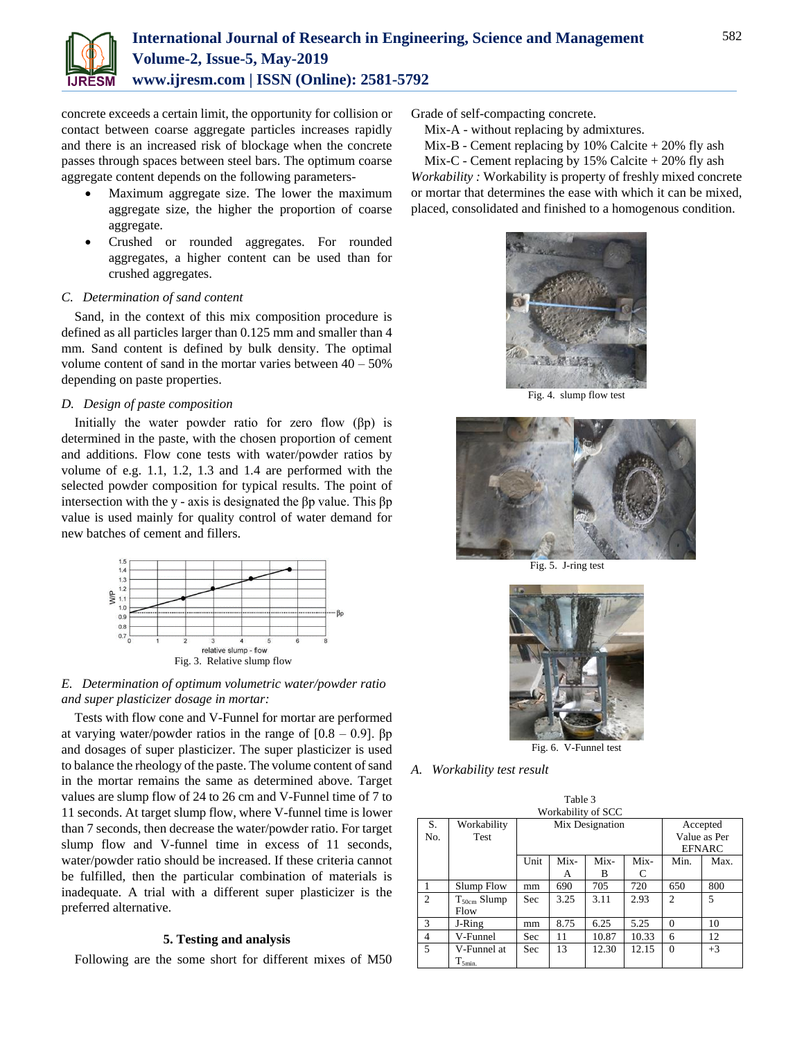

concrete exceeds a certain limit, the opportunity for collision or contact between coarse aggregate particles increases rapidly and there is an increased risk of blockage when the concrete passes through spaces between steel bars. The optimum coarse aggregate content depends on the following parameters-

- Maximum aggregate size. The lower the maximum aggregate size, the higher the proportion of coarse aggregate.
- Crushed or rounded aggregates. For rounded aggregates, a higher content can be used than for crushed aggregates.

#### *C. Determination of sand content*

Sand, in the context of this mix composition procedure is defined as all particles larger than 0.125 mm and smaller than 4 mm. Sand content is defined by bulk density. The optimal volume content of sand in the mortar varies between  $40 - 50\%$ depending on paste properties.

### *D. Design of paste composition*

Initially the water powder ratio for zero flow  $(\beta p)$  is determined in the paste, with the chosen proportion of cement and additions. Flow cone tests with water/powder ratios by volume of e.g. 1.1, 1.2, 1.3 and 1.4 are performed with the selected powder composition for typical results. The point of intersection with the y - axis is designated the βp value. This βp value is used mainly for quality control of water demand for new batches of cement and fillers.



*E. Determination of optimum volumetric water/powder ratio and super plasticizer dosage in mortar:*

Tests with flow cone and V-Funnel for mortar are performed at varying water/powder ratios in the range of  $[0.8 - 0.9]$ .  $\beta p$ and dosages of super plasticizer. The super plasticizer is used to balance the rheology of the paste. The volume content of sand in the mortar remains the same as determined above. Target values are slump flow of 24 to 26 cm and V-Funnel time of 7 to 11 seconds. At target slump flow, where V-funnel time is lower than 7 seconds, then decrease the water/powder ratio. For target slump flow and V-funnel time in excess of 11 seconds, water/powder ratio should be increased. If these criteria cannot be fulfilled, then the particular combination of materials is inadequate. A trial with a different super plasticizer is the preferred alternative.

#### **5. Testing and analysis**

Following are the some short for different mixes of M50

Grade of self-compacting concrete.

Mix-A - without replacing by admixtures.

Mix-B - Cement replacing by  $10\%$  Calcite  $+20\%$  fly ash

Mix-C - Cement replacing by  $15\%$  Calcite  $+20\%$  fly ash *Workability :* Workability is property of freshly mixed concrete or mortar that determines the ease with which it can be mixed, placed, consolidated and finished to a homogenous condition.



Fig. 4. slump flow test



Fig. 5. J-ring test



Fig. 6. V-Funnel test

Table 3

## *A. Workability test result*

| t aviv J<br>Workability of SCC |                          |                 |      |       |       |                |          |
|--------------------------------|--------------------------|-----------------|------|-------|-------|----------------|----------|
| S.                             | Workability              | Mix Designation |      |       |       |                | Accepted |
| No.                            | Test                     | Value as Per    |      |       |       |                |          |
|                                |                          |                 |      |       |       | <b>EFNARC</b>  |          |
|                                |                          | Unit            | Mix- | Mix-  | Mix-  | Min.           | Max.     |
|                                |                          |                 | A    | B     | C     |                |          |
|                                | Slump Flow               | mm              | 690  | 705   | 720   | 650            | 800      |
| 2                              | $T_{50cm}$ Slump<br>Flow | Sec             | 3.25 | 3.11  | 2.93  | $\mathfrak{D}$ | 5        |
| 3                              | J-Ring                   | mm              | 8.75 | 6.25  | 5.25  | $\Omega$       | 10       |
| $\overline{4}$                 | V-Funnel                 | Sec             | 11   | 10.87 | 10.33 | 6              | 12       |
| 5                              | V-Funnel at              | Sec             | 13   | 12.30 | 12.15 | $\Omega$       | $+3$     |
|                                | $T_{5min.}$              |                 |      |       |       |                |          |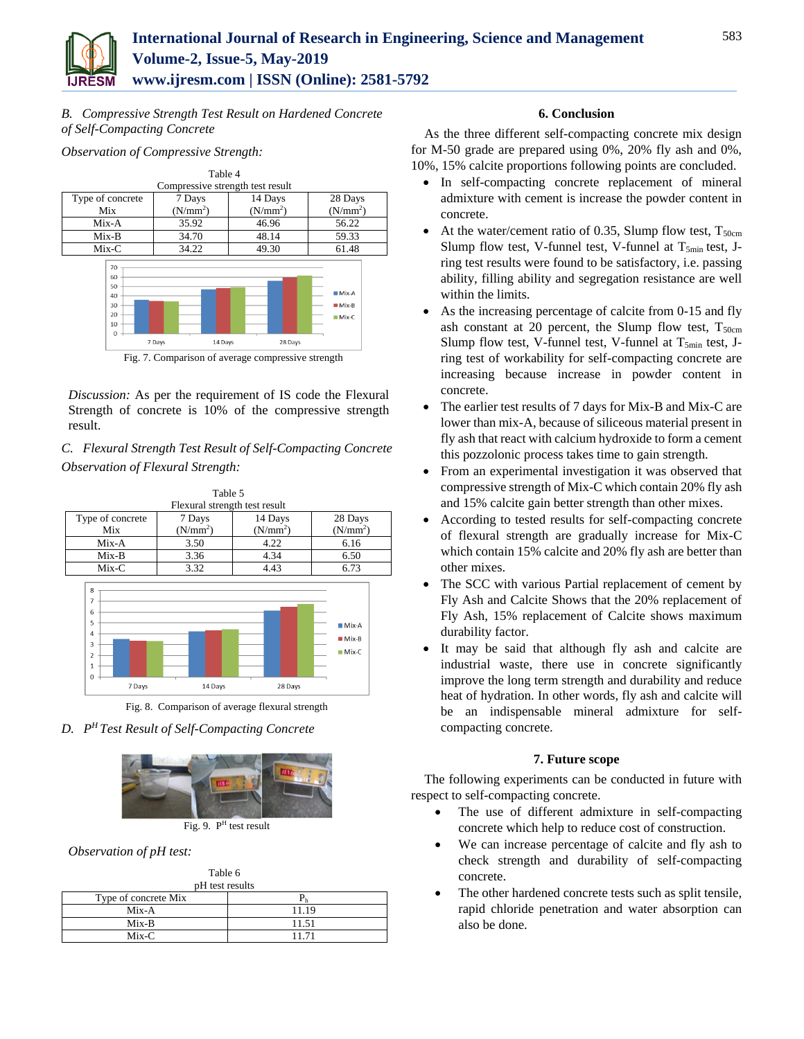

*B. Compressive Strength Test Result on Hardened Concrete of Self-Compacting Concrete*

*Observation of Compressive Strength:*



Fig. 7. Comparison of average compressive strength

*Discussion:* As per the requirement of IS code the Flexural Strength of concrete is 10% of the compressive strength result.

*C. Flexural Strength Test Result of Self-Compacting Concrete Observation of Flexural Strength:*



Fig. 8. Comparison of average flexural strength

## *D. P <sup>H</sup>Test Result of Self-Compacting Concrete*



Fig. 9. P<sup>H</sup> test result

*Observation of pH test:*

| Table 6              |       |  |  |  |
|----------------------|-------|--|--|--|
| pH test results      |       |  |  |  |
| Type of concrete Mix |       |  |  |  |
| $Mix-A$              | 11.19 |  |  |  |
| $Mix-B$              | 11.51 |  |  |  |
| $Mix-C$              | 11.71 |  |  |  |

#### **6. Conclusion**

As the three different self-compacting concrete mix design for M-50 grade are prepared using 0%, 20% fly ash and 0%, 10%, 15% calcite proportions following points are concluded.

- In self-compacting concrete replacement of mineral admixture with cement is increase the powder content in concrete.
- At the water/cement ratio of 0.35, Slump flow test,  $T_{50cm}$ Slump flow test, V-funnel test, V-funnel at  $T_{5min}$  test, Jring test results were found to be satisfactory, i.e. passing ability, filling ability and segregation resistance are well within the limits.
- As the increasing percentage of calcite from 0-15 and fly ash constant at 20 percent, the Slump flow test,  $T_{50cm}$ Slump flow test, V-funnel test, V-funnel at  $T_{5min}$  test, Jring test of workability for self-compacting concrete are increasing because increase in powder content in concrete.
- The earlier test results of 7 days for Mix-B and Mix-C are lower than mix-A, because of siliceous material present in fly ash that react with calcium hydroxide to form a cement this pozzolonic process takes time to gain strength.
- From an experimental investigation it was observed that compressive strength of Mix-C which contain 20% fly ash and 15% calcite gain better strength than other mixes.
- According to tested results for self-compacting concrete of flexural strength are gradually increase for Mix-C which contain 15% calcite and 20% fly ash are better than other mixes.
- The SCC with various Partial replacement of cement by Fly Ash and Calcite Shows that the 20% replacement of Fly Ash, 15% replacement of Calcite shows maximum durability factor.
- It may be said that although fly ash and calcite are industrial waste, there use in concrete significantly improve the long term strength and durability and reduce heat of hydration. In other words, fly ash and calcite will be an indispensable mineral admixture for selfcompacting concrete.

## **7. Future scope**

The following experiments can be conducted in future with respect to self-compacting concrete.

- The use of different admixture in self-compacting concrete which help to reduce cost of construction.
- We can increase percentage of calcite and fly ash to check strength and durability of self-compacting concrete.
- The other hardened concrete tests such as split tensile, rapid chloride penetration and water absorption can also be done.